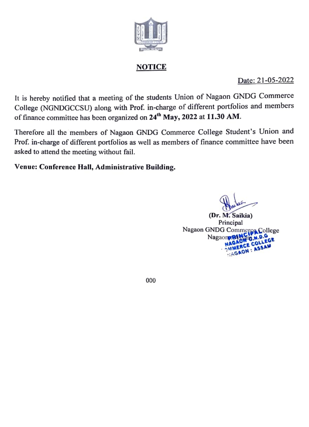

### **NOTICE**

Date: 21-05-2022

It is hereby notified that a meeting of the students Union of Nagaon GNDG Commerce College (NGNDGCCSU) along with Prof. in-charge of different portfolios and members of finance committee has been organized on 24<sup>th</sup> May, 2022 at 11.30 AM.

Therefore all the members of Nagaon GNDG Commerce College Student's Union and Prof. in-charge of different portfolios as well as members of finance committee have been asked to attend the meeting without fail.

Venue: Conference Hal, Administrative Building.

(Dr. M. Saikia) Nagaon GNDG Commerca College Nagaon MAGAON O. NAGAON O. COLL

000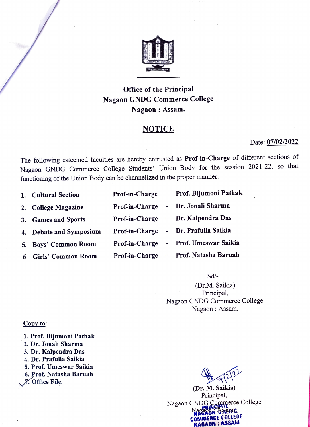

### Office of the Principal Nagaon GNDG Commerce College Nagaon : Assam.

#### **NOTICE**

#### Date: 07/02/2022

The following esteemed faculties are hereby entrusted as Prof-in-Charge of different sections of Nagaon GNDG Commerce College Students' Union Body for the session 2021-22, so that functioning of the Union Body can be channelized in the proper manner.

- 1. Cultural Section Prof-
- 2. College Magazine Prof-
- 3. Games and Sports Prof-
- 4. Debate and Symposium Prof-
- 5. Boys' Common Room Prof-
- 6 Girls' Common Room Prof-in-Charge Prof. Natasha Baruah

| in-Charge             | Prof. Bijumoni Patnak            |
|-----------------------|----------------------------------|
|                       | in-Charge - Dr. Jonali Sharma    |
|                       | in-Charge - Dr. Kalpendra Das    |
|                       | in-Charge - Dr. Prafulla Saikia  |
|                       | in-Charge - Prof. Umeswar Saikia |
| $\cdot$ $\sim$ $\sim$ | $D_{\text{max}}$ Natasha Dawrah  |

#### Sd/-

(Dr.M. Saikia) Principal, Nagaon GNDG Commerce College Nagaon: Assam.

#### Copy to:

- 1. Prof. Bijumoni Pathak
- 2. Dr. Jonali Sharma
- 3. Dr. Kalpendra Das
- 4. Dr. Prafulla Saikia
- 5. Prof. Umeswar Saikia
- 6. Prof. Natasha Baruah

Office File.

(Dr. M. Saikia) Principal, Nagaon GNDG Commerce College **NAGRUM GNOTO** NAGAON: ASSAM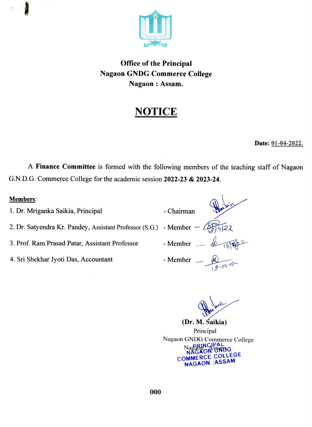

### Office of the Principal Nagaon GNDG Commerce College Nagaon: Assam.

# NOTICE

#### Date: 01-04-2022.

A Finance Committee is formed with the following members of the teaching staff of Nagaon G.N.D.G. Commerce College for the academic session 2022-23 & 2023-24.

| - Chairman                                                                                       |  |
|--------------------------------------------------------------------------------------------------|--|
| 2. Dr. Satyendra Kr. Pandey, Assistant Professor (S.G.) - Member $-\sqrt{\frac{25}{14}}\sqrt{2}$ |  |
| - Member $\triangle$ $(894)$                                                                     |  |
| - Member $-\sqrt{2\sqrt{4}}$                                                                     |  |
|                                                                                                  |  |

(Dr. M. Saikia) Principal Nagaon GNDG Commerce College Nagabincipal<br>NAGAON GNDG COMMERCE COLLEGE NAGAON :ASSAM